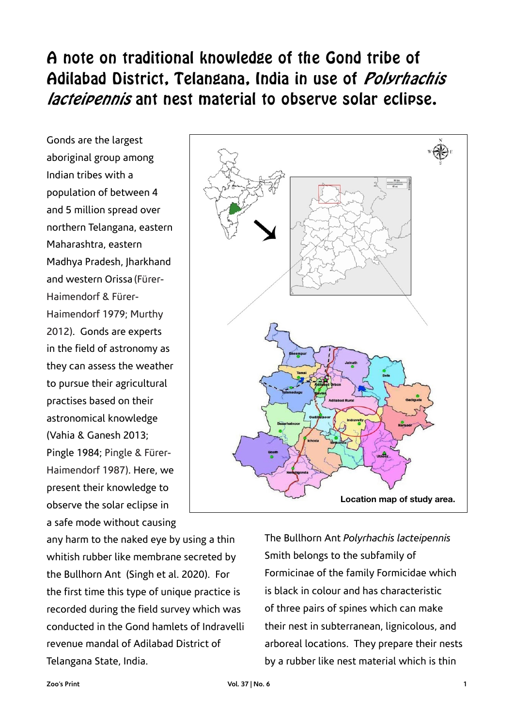# A note on traditional knowledge of the Gond tribe of Adilabad District, Telangana, India in use of *Polyrhachis* lacteipennis ant nest material to observe solar eclipse.

Gonds are the largest aboriginal group among Indian tribes with a population of between 4 and 5 million spread over northern Telangana, eastern Maharashtra, eastern Madhya Pradesh, Jharkhand and western Orissa (Fürer-Haimendorf & Fürer-Haimendorf 1979; Murthy 2012). Gonds are experts in the field of astronomy as they can assess the weather to pursue their agricultural practises based on their astronomical knowledge (Vahia & Ganesh 2013; Pingle 1984; Pingle & Fürer-Haimendorf 1987). Here, we present their knowledge to observe the solar eclipse in a safe mode without causing

any harm to the naked eye by using a thin whitish rubber like membrane secreted by the Bullhorn Ant (Singh et al. 2020). For the first time this type of unique practice is recorded during the field survey which was conducted in the Gond hamlets of Indravelli revenue mandal of Adilabad District of Telangana State, India.



The Bullhorn Ant *Polyrhachis lacteipennis*  Smith belongs to the subfamily of Formicinae of the family Formicidae which is black in colour and has characteristic of three pairs of spines which can make their nest in subterranean, lignicolous, and arboreal locations. They prepare their nests by a rubber like nest material which is thin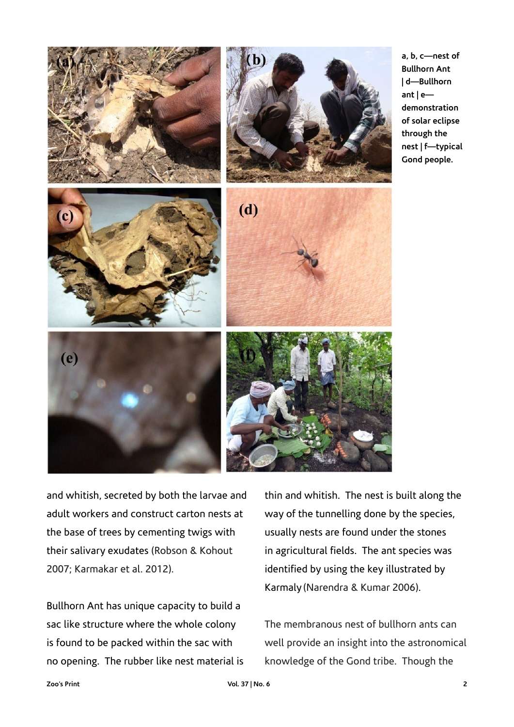

**a, b, c—nest of Bullhorn Ant | d—Bullhorn ant | e demonstration of solar eclipse through the nest | f—typical Gond people.**

and whitish, secreted by both the larvae and adult workers and construct carton nests at the base of trees by cementing twigs with their salivary exudates (Robson & Kohout 2007; Karmakar et al. 2012).

Bullhorn Ant has unique capacity to build a sac like structure where the whole colony is found to be packed within the sac with no opening. The rubber like nest material is

thin and whitish. The nest is built along the way of the tunnelling done by the species, usually nests are found under the stones in agricultural fields. The ant species was identified by using the key illustrated by Karmaly (Narendra & Kumar 2006).

The membranous nest of bullhorn ants can well provide an insight into the astronomical knowledge of the Gond tribe. Though the